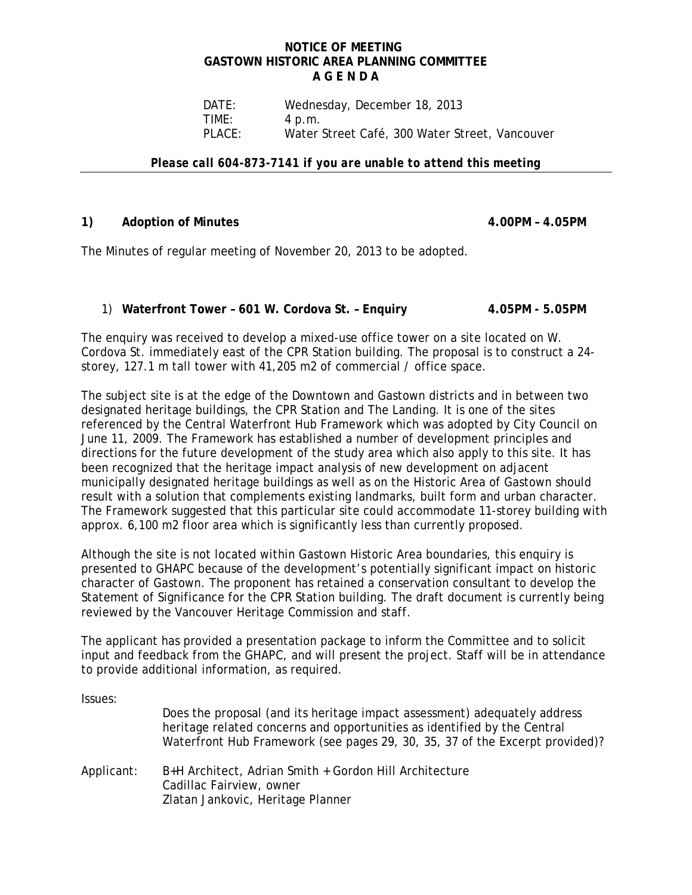### **NOTICE OF MEETING GASTOWN HISTORIC AREA PLANNING COMMITTEE A G E N D A**

 DATE: Wednesday, December 18, 2013 TIME: 4 p.m. PLACE: Water Street Café, 300 Water Street, Vancouver

*Please call 604-873-7141 if you are unable to attend this meeting* 

## 1) Adoption of Minutes 4.00PM – 4.05PM

The Minutes of regular meeting of November 20, 2013 to be adopted.

## 1) **Waterfront Tower – 601 W. Cordova St. – Enquiry 4.05PM - 5.05PM**

The enquiry was received to develop a mixed-use office tower on a site located on W. Cordova St. immediately east of the CPR Station building. The proposal is to construct a 24 storey, 127.1 m tall tower with 41,205 m2 of commercial / office space.

The subject site is at the edge of the Downtown and Gastown districts and in between two designated heritage buildings, the CPR Station and The Landing. It is one of the sites referenced by the Central Waterfront Hub Framework which was adopted by City Council on June 11, 2009. The Framework has established a number of development principles and directions for the future development of the study area which also apply to this site. It has been recognized that the heritage impact analysis of new development on adjacent municipally designated heritage buildings as well as on the Historic Area of Gastown should result with a solution that complements existing landmarks, built form and urban character. The Framework suggested that this particular site could accommodate 11-storey building with approx. 6,100 m2 floor area which is significantly less than currently proposed.

Although the site is not located within Gastown Historic Area boundaries, this enquiry is presented to GHAPC because of the development's potentially significant impact on historic character of Gastown. The proponent has retained a conservation consultant to develop the Statement of Significance for the CPR Station building. The draft document is currently being reviewed by the Vancouver Heritage Commission and staff.

The applicant has provided a presentation package to inform the Committee and to solicit input and feedback from the GHAPC, and will present the project. Staff will be in attendance to provide additional information, as required.

Issues:

|            | Does the proposal (and its heritage impact assessment) adequately address<br>heritage related concerns and opportunities as identified by the Central<br>Waterfront Hub Framework (see pages 29, 30, 35, 37 of the Excerpt provided)? |
|------------|---------------------------------------------------------------------------------------------------------------------------------------------------------------------------------------------------------------------------------------|
| Applicant: | B+H Architect, Adrian Smith + Gordon Hill Architecture<br>Cadillac Fairview, owner<br>Zlatan Jankovic, Heritage Planner                                                                                                               |